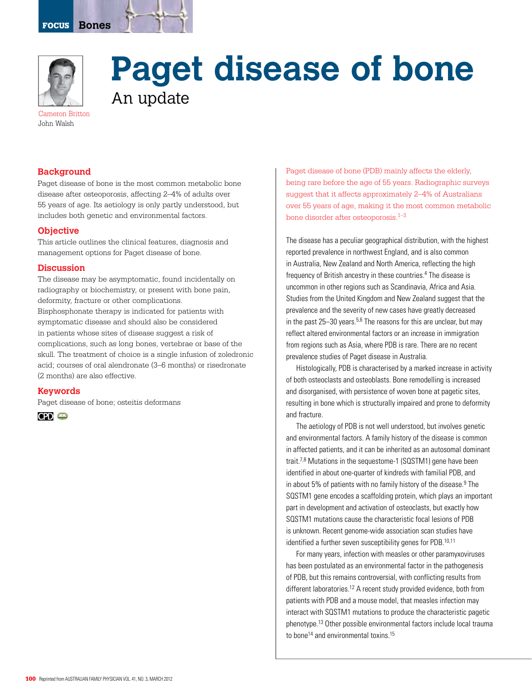

# **Paget disease of bone**  An update

Cameron Britton John Walsh

## **Background**

Paget disease of bone is the most common metabolic bone disease after osteoporosis, affecting 2–4% of adults over 55 years of age. Its aetiology is only partly understood, but includes both genetic and environmental factors.

#### **Objective**

This article outlines the clinical features, diagnosis and management options for Paget disease of bone.

#### **Discussion**

The disease may be asymptomatic, found incidentally on radiography or biochemistry, or present with bone pain, deformity, fracture or other complications. Bisphosphonate therapy is indicated for patients with symptomatic disease and should also be considered in patients whose sites of disease suggest a risk of complications, such as long bones, vertebrae or base of the skull. The treatment of choice is a single infusion of zoledronic acid; courses of oral alendronate (3–6 months) or risedronate (2 months) are also effective.

## **Keywords**

Paget disease of bone; osteitis deformans



Paget disease of bone (PDB) mainly affects the elderly, being rare before the age of 55 years. Radiographic surveys suggest that it affects approximately 2–4% of Australians over 55 years of age, making it the most common metabolic bone disorder after osteoporosis.1–3

The disease has a peculiar geographical distribution, with the highest reported prevalence in northwest England, and is also common in Australia, New Zealand and North America, reflecting the high frequency of British ancestry in these countries.<sup>4</sup> The disease is uncommon in other regions such as Scandinavia, Africa and Asia. Studies from the United Kingdom and New Zealand suggest that the prevalence and the severity of new cases have greatly decreased in the past  $25-30$  years.<sup>5,6</sup> The reasons for this are unclear, but may reflect altered environmental factors or an increase in immigration from regions such as Asia, where PDB is rare. There are no recent prevalence studies of Paget disease in Australia.

histologically, PDB is characterised by a marked increase in activity of both osteoclasts and osteoblasts. Bone remodelling is increased and disorganised, with persistence of woven bone at pagetic sites, resulting in bone which is structurally impaired and prone to deformity and fracture.

The aetiology of PDB is not well understood, but involves genetic and environmental factors. A family history of the disease is common in affected patients, and it can be inherited as an autosomal dominant trait.<sup>7,8</sup> Mutations in the sequestome-1 (SQSTM1) gene have been identified in about one-quarter of kindreds with familial PDB, and in about 5% of patients with no family history of the disease.<sup>9</sup> The SQSTM1 gene encodes a scaffolding protein, which plays an important part in development and activation of osteoclasts, but exactly how sQstm1 mutations cause the characteristic focal lesions of PDB is unknown. Recent genome-wide association scan studies have identified a further seven susceptibility genes for PDB.<sup>10,11</sup>

For many years, infection with measles or other paramyxoviruses has been postulated as an environmental factor in the pathogenesis of PDB, but this remains controversial, with conflicting results from different laboratories.12 A recent study provided evidence, both from patients with PDB and a mouse model, that measles infection may interact with SQSTM1 mutations to produce the characteristic pagetic phenotype.13 other possible environmental factors include local trauma to bone<sup>14</sup> and environmental toxins.<sup>15</sup>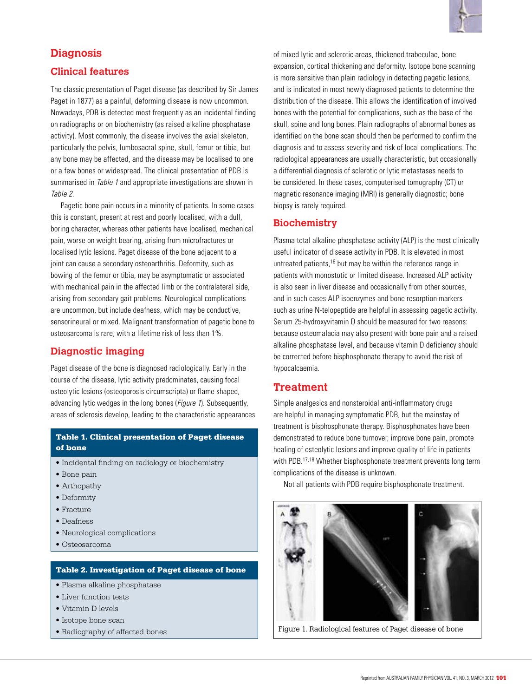

# **Diagnosis**

## **Clinical features**

The classic presentation of Paget disease (as described by Sir James Paget in 1877) as a painful, deforming disease is now uncommon. Nowadays, PDB is detected most frequently as an incidental finding on radiographs or on biochemistry (as raised alkaline phosphatase activity). Most commonly, the disease involves the axial skeleton, particularly the pelvis, lumbosacral spine, skull, femur or tibia, but any bone may be affected, and the disease may be localised to one or a few bones or widespread. The clinical presentation of PDB is summarised in Table 1 and appropriate investigations are shown in Table 2.

Pagetic bone pain occurs in a minority of patients. In some cases this is constant, present at rest and poorly localised, with a dull, boring character, whereas other patients have localised, mechanical pain, worse on weight bearing, arising from microfractures or localised lytic lesions. Paget disease of the bone adjacent to a joint can cause a secondary osteoarthritis. Deformity, such as bowing of the femur or tibia, may be asymptomatic or associated with mechanical pain in the affected limb or the contralateral side, arising from secondary gait problems. Neurological complications are uncommon, but include deafness, which may be conductive, sensorineural or mixed. Malignant transformation of pagetic bone to osteosarcoma is rare, with a lifetime risk of less than 1%.

# **Diagnostic imaging**

Paget disease of the bone is diagnosed radiologically. Early in the course of the disease, lytic activity predominates, causing focal osteolytic lesions (osteoporosis circumscripta) or flame shaped, advancing lytic wedges in the long bones (*Figure 1*). Subsequently, areas of sclerosis develop, leading to the characteristic appearances

### Table 1. Clinical presentation of Paget disease of bone

- Incidental finding on radiology or biochemistry
- Bone pain
- Arthopathy
- Deformity
- Fracture
- Deafness
- Neurological complications
- Osteosarcoma

#### Table 2. Investigation of Paget disease of bone

- Plasma alkaline phosphatase
- Liver function tests
- Vitamin D levels
- Isotope bone scan
- 

of mixed lytic and sclerotic areas, thickened trabeculae, bone expansion, cortical thickening and deformity. Isotope bone scanning is more sensitive than plain radiology in detecting pagetic lesions, and is indicated in most newly diagnosed patients to determine the distribution of the disease. This allows the identification of involved bones with the potential for complications, such as the base of the skull, spine and long bones. Plain radiographs of abnormal bones as identified on the bone scan should then be performed to confirm the diagnosis and to assess severity and risk of local complications. The radiological appearances are usually characteristic, but occasionally a differential diagnosis of sclerotic or lytic metastases needs to be considered. In these cases, computerised tomography (CT) or magnetic resonance imaging (MRI) is generally diagnostic; bone biopsy is rarely required.

# **Biochemistry**

Plasma total alkaline phosphatase activity (ALP) is the most clinically useful indicator of disease activity in PDB. It is elevated in most untreated patients,<sup>16</sup> but may be within the reference range in patients with monostotic or limited disease. Increased ALP activity is also seen in liver disease and occasionally from other sources, and in such cases ALP isoenzymes and bone resorption markers such as urine N-telopeptide are helpful in assessing pagetic activity. Serum 25-hydroxyvitamin D should be measured for two reasons: because osteomalacia may also present with bone pain and a raised alkaline phosphatase level, and because vitamin D deficiency should be corrected before bisphosphonate therapy to avoid the risk of hypocalcaemia.

# **Treatment**

Simple analgesics and nonsteroidal anti-inflammatory drugs are helpful in managing symptomatic PDB, but the mainstay of treatment is bisphosphonate therapy. Bisphosphonates have been demonstrated to reduce bone turnover, improve bone pain, promote healing of osteolytic lesions and improve quality of life in patients with PDB.<sup>17,18</sup> Whether bisphosphonate treatment prevents long term complications of the disease is unknown.

Not all patients with PDB require bisphosphonate treatment.



• Radiography of affected bones Figure 1. Radiological features of Paget disease of bone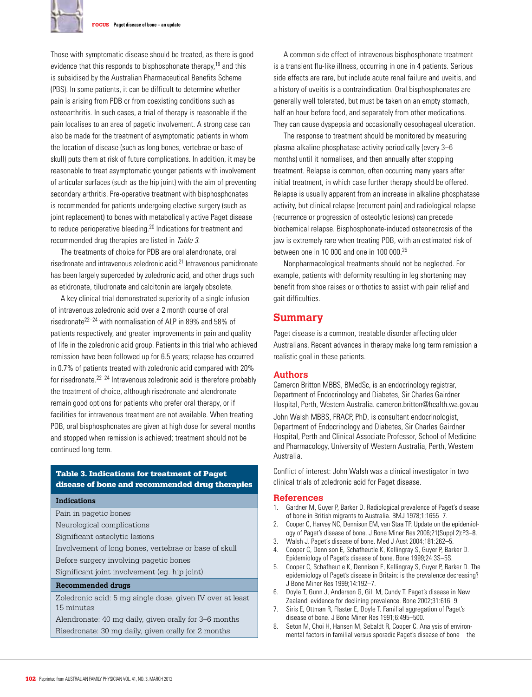

FOCUS **Paget disease of bone – an update**

Those with symptomatic disease should be treated, as there is good evidence that this responds to bisphosphonate therapy,<sup>19</sup> and this is subsidised by the Australian Pharmaceutical Benefits Scheme (PBS). In some patients, it can be difficult to determine whether pain is arising from PDB or from coexisting conditions such as osteoarthritis. In such cases, a trial of therapy is reasonable if the pain localises to an area of pagetic involvement. A strong case can also be made for the treatment of asymptomatic patients in whom the location of disease (such as long bones, vertebrae or base of skull) puts them at risk of future complications. In addition, it may be reasonable to treat asymptomatic younger patients with involvement of articular surfaces (such as the hip joint) with the aim of preventing secondary arthritis. Pre-operative treatment with bisphosphonates is recommended for patients undergoing elective surgery (such as joint replacement) to bones with metabolically active Paget disease to reduce perioperative bleeding.20 Indications for treatment and recommended drug therapies are listed in Table 3.

The treatments of choice for PDB are oral alendronate, oral risedronate and intravenous zoledronic acid.21 Intravenous pamidronate has been largely superceded by zoledronic acid, and other drugs such as etidronate, tiludronate and calcitonin are largely obsolete.

A key clinical trial demonstrated superiority of a single infusion of intravenous zoledronic acid over a 2 month course of oral risedronate22–24 with normalisation of ALP in 89% and 58% of patients respectively, and greater improvements in pain and quality of life in the zoledronic acid group. Patients in this trial who achieved remission have been followed up for 6.5 years; relapse has occurred in 0.7% of patients treated with zoledronic acid compared with 20% for risedronate.<sup>22–24</sup> Intravenous zoledronic acid is therefore probably the treatment of choice, although risedronate and alendronate remain good options for patients who prefer oral therapy, or if facilities for intravenous treatment are not available. When treating PDB, oral bisphosphonates are given at high dose for several months and stopped when remission is achieved; treatment should not be continued long term.

### Table 3. Indications for treatment of Paget disease of bone and recommended drug therapies

#### **Indications**

- Pain in pagetic bones
- Neurological complications
- Significant osteolytic lesions
- Involvement of long bones, vertebrae or base of skull
- Before surgery involving pagetic bones
- Significant joint involvement (eg. hip joint)

#### **Recommended drugs**

Zoledronic acid: 5 mg single dose, given IV over at least 15 minutes

Alendronate: 40 mg daily, given orally for 3–6 months Risedronate: 30 mg daily, given orally for 2 months

A common side effect of intravenous bisphosphonate treatment is a transient flu-like illness, occurring in one in 4 patients. Serious side effects are rare, but include acute renal failure and uveitis, and a history of uveitis is a contraindication. Oral bisphosphonates are generally well tolerated, but must be taken on an empty stomach, half an hour before food, and separately from other medications. They can cause dyspepsia and occasionally oesophageal ulceration.

The response to treatment should be monitored by measuring plasma alkaline phosphatase activity periodically (every 3–6 months) until it normalises, and then annually after stopping treatment. Relapse is common, often occurring many years after initial treatment, in which case further therapy should be offered. Relapse is usually apparent from an increase in alkaline phosphatase activity, but clinical relapse (recurrent pain) and radiological relapse (recurrence or progression of osteolytic lesions) can precede biochemical relapse. Bisphosphonate-induced osteonecrosis of the jaw is extremely rare when treating PDB, with an estimated risk of between one in 10 000 and one in 100 000.25

Nonpharmacological treatments should not be neglected. For example, patients with deformity resulting in leg shortening may benefit from shoe raises or orthotics to assist with pain relief and gait difficulties.

## **Summary**

Paget disease is a common, treatable disorder affecting older Australians. Recent advances in therapy make long term remission a realistic goal in these patients.

#### **Authors**

Cameron Britton MBBS, BMedSc, is an endocrinology registrar, Department of Endocrinology and Diabetes, Sir Charles Gairdner Hospital, Perth, Western Australia. cameron.britton@health.wa.gov.au John Walsh MBBS, FRACP, PhD, is consultant endocrinologist, Department of Endocrinology and Diabetes, Sir Charles Gairdner Hospital, Perth and Clinical Associate Professor, School of Medicine and Pharmacology, University of Western Australia, Perth, Western Australia.

Conflict of interest: John Walsh was a clinical investigator in two clinical trials of zoledronic acid for Paget disease.

#### **References**

- 1. Gardner M, Guyer P, Barker D. Radiological prevalence of Paget's disease of bone in British migrants to Australia. BMJ 1978;1:1655–7.
- 2. Cooper C, Harvey NC, Dennison EM, van Staa TP. Update on the epidemiology of Paget's disease of bone. J Bone Miner Res 2006;21(Suppl 2):P3–8.
- 3. Walsh J. Paget's disease of bone. Med J Aust 2004;181:262–5.
- 4. Cooper C, Dennison E, Schafheutle K, Kellingray S, Guyer P, Barker D. Epidemiology of Paget's disease of bone. Bone 1999;24:3S–5S.
- 5. Cooper C, Schafheutle K, Dennison E, Kellingray S, Guyer P, Barker D. The epidemiology of Paget's disease in Britain: is the prevalence decreasing? J Bone Miner Res 1999;14:192–7.
- 6. Doyle T, Gunn J, Anderson G, Gill M, Cundy T. Paget's disease in New Zealand: evidence for declining prevalence. Bone 2002;31:616–9.
- 7. Siris E, Ottman R, Flaster E, Doyle T. Familial aggregation of Paget's disease of bone. J Bone Miner Res 1991;6:495–500.
- 8. Seton M, Choi H, Hansen M, Sebaldt R, Cooper C. Analysis of environmental factors in familial versus sporadic Paget's disease of bone – the